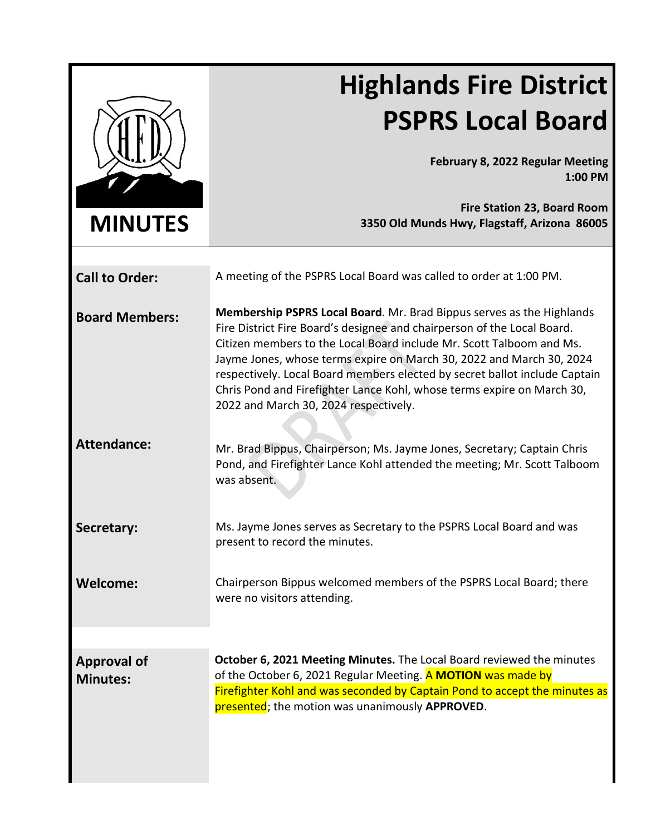|                                       | <b>Highlands Fire District</b>                                                                                                                                                                                                                                                                                                                                                                                                                                                                    |
|---------------------------------------|---------------------------------------------------------------------------------------------------------------------------------------------------------------------------------------------------------------------------------------------------------------------------------------------------------------------------------------------------------------------------------------------------------------------------------------------------------------------------------------------------|
|                                       | <b>PSPRS Local Board</b>                                                                                                                                                                                                                                                                                                                                                                                                                                                                          |
|                                       | February 8, 2022 Regular Meeting<br>1:00 PM                                                                                                                                                                                                                                                                                                                                                                                                                                                       |
| <b>MINUTES</b>                        | <b>Fire Station 23, Board Room</b><br>3350 Old Munds Hwy, Flagstaff, Arizona 86005                                                                                                                                                                                                                                                                                                                                                                                                                |
| <b>Call to Order:</b>                 | A meeting of the PSPRS Local Board was called to order at 1:00 PM.                                                                                                                                                                                                                                                                                                                                                                                                                                |
| <b>Board Members:</b>                 | Membership PSPRS Local Board. Mr. Brad Bippus serves as the Highlands<br>Fire District Fire Board's designee and chairperson of the Local Board.<br>Citizen members to the Local Board include Mr. Scott Talboom and Ms.<br>Jayme Jones, whose terms expire on March 30, 2022 and March 30, 2024<br>respectively. Local Board members elected by secret ballot include Captain<br>Chris Pond and Firefighter Lance Kohl, whose terms expire on March 30,<br>2022 and March 30, 2024 respectively. |
| <b>Attendance:</b>                    | Mr. Brad Bippus, Chairperson; Ms. Jayme Jones, Secretary; Captain Chris<br>Pond, and Firefighter Lance Kohl attended the meeting; Mr. Scott Talboom<br>was absent.                                                                                                                                                                                                                                                                                                                                |
| Secretary:                            | Ms. Jayme Jones serves as Secretary to the PSPRS Local Board and was<br>present to record the minutes.                                                                                                                                                                                                                                                                                                                                                                                            |
| <b>Welcome:</b>                       | Chairperson Bippus welcomed members of the PSPRS Local Board; there<br>were no visitors attending.                                                                                                                                                                                                                                                                                                                                                                                                |
|                                       |                                                                                                                                                                                                                                                                                                                                                                                                                                                                                                   |
| <b>Approval of</b><br><b>Minutes:</b> | October 6, 2021 Meeting Minutes. The Local Board reviewed the minutes<br>of the October 6, 2021 Regular Meeting. A MOTION was made by<br>Firefighter Kohl and was seconded by Captain Pond to accept the minutes as<br>presented; the motion was unanimously APPROVED.                                                                                                                                                                                                                            |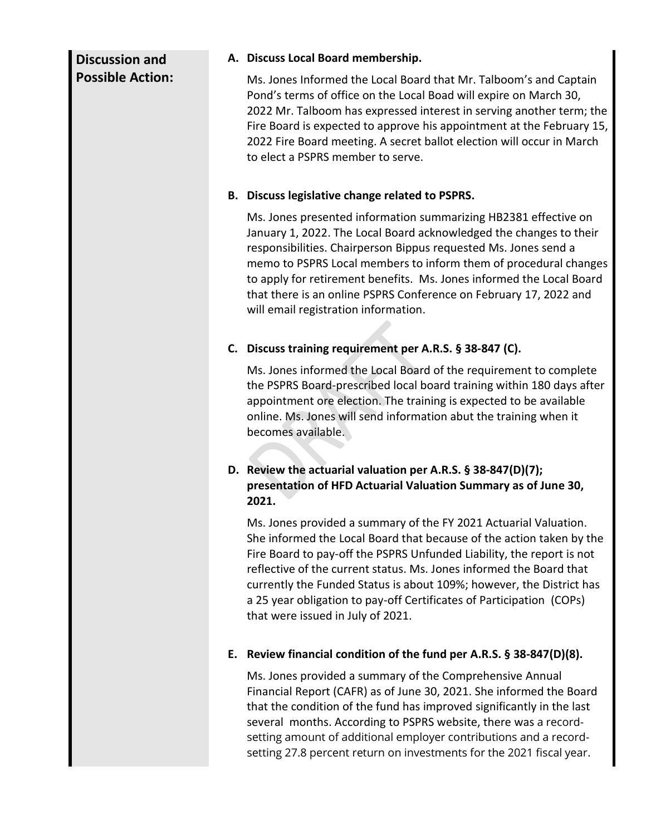# **Discussion and Possible Action:**

#### **A. Discuss Local Board membership.**

Ms. Jones Informed the Local Board that Mr. Talboom's and Captain Pond's terms of office on the Local Boad will expire on March 30, 2022 Mr. Talboom has expressed interest in serving another term; the Fire Board is expected to approve his appointment at the February 15, 2022 Fire Board meeting. A secret ballot election will occur in March to elect a PSPRS member to serve.

#### **B. Discuss legislative change related to PSPRS.**

Ms. Jones presented information summarizing HB2381 effective on January 1, 2022. The Local Board acknowledged the changes to their responsibilities. Chairperson Bippus requested Ms. Jones send a memo to PSPRS Local members to inform them of procedural changes to apply for retirement benefits. Ms. Jones informed the Local Board that there is an online PSPRS Conference on February 17, 2022 and will email registration information.

## **C. Discuss training requirement per A.R.S. § 38-847 (C).**

Ms. Jones informed the Local Board of the requirement to complete the PSPRS Board-prescribed local board training within 180 days after appointment ore election. The training is expected to be available online. Ms. Jones will send information abut the training when it becomes available.

### **D. Review the actuarial valuation per A.R.S. § 38-847(D)(7); presentation of HFD Actuarial Valuation Summary as of June 30, 2021.**

Ms. Jones provided a summary of the FY 2021 Actuarial Valuation. She informed the Local Board that because of the action taken by the Fire Board to pay-off the PSPRS Unfunded Liability, the report is not reflective of the current status. Ms. Jones informed the Board that currently the Funded Status is about 109%; however, the District has a 25 year obligation to pay-off Certificates of Participation (COPs) that were issued in July of 2021.

## **E. Review financial condition of the fund per A.R.S. § 38-847(D)(8).**

Ms. Jones provided a summary of the Comprehensive Annual Financial Report (CAFR) as of June 30, 2021. She informed the Board that the condition of the fund has improved significantly in the last several months. According to PSPRS website, there was a recordsetting amount of additional employer contributions and a recordsetting 27.8 percent return on investments for the 2021 fiscal year.